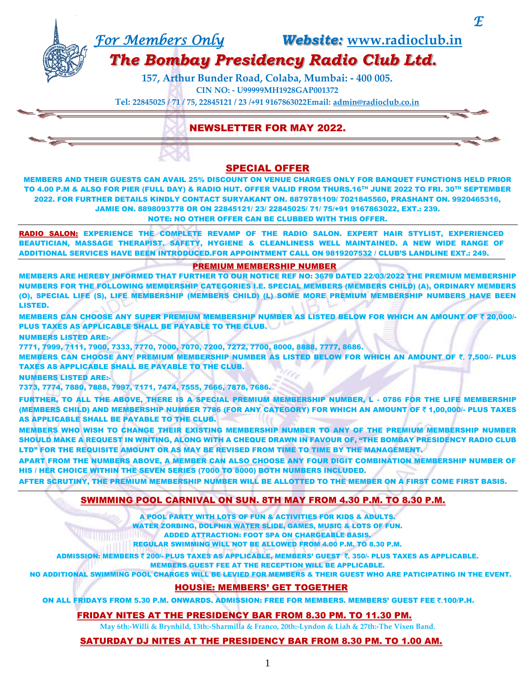*For Members Only Website:* **[www.radioclub.in](http://www.radioclub.in/)**

 $\bm{\mathcal{F}}$ 

# *The Bombay Presidency Radio Club Ltd.*

**157, Arthur Bunder Road, Colaba, Mumbai: - 400 005. CIN NO: - U99999MH1928GAP001372**

**Tel: 22845025 / 71 / 75, 22845121 / 23 /+91 9167863022Email: [admin@radioclub.co.in](mailto:admin@radioclub.co.in)**

# NEWSLETTER FOR MAY 2022.

# SPECIAL OFFER

MEMBERS AND THEIR GUESTS CAN AVAIL 25% DISCOUNT ON VENUE CHARGES ONLY FOR BANQUET FUNCTIONS HELD PRIOR TO 4.00 P.M & ALSO FOR PIER (FULL DAY) & RADIO HUT. OFFER VALID FROM THURS.16TH JUNE 2022 TO FRI. 30TH SEPTEMBER 2022. FOR FURTHER DETAILS KINDLY CONTACT SURYAKANT ON. 8879781109/ 7021845560, PRASHANT ON. 9920465316, JAMIE ON. 8898093778 OR ON 22845121/ 23/ 22845025/ 71/ 75/+91 9167863022, EXT.: 239. NOTE: NO OTHER OFFER CAN BE CLUBBED WITH THIS OFFER.

RADIO SALON: EXPERIENCE THE COMPLETE REVAMP OF THE RADIO SALON. EXPERT HAIR STYLIST, EXPERIENCED BEAUTICIAN, MASSAGE THERAPIST. SAFETY, HYGIENE & CLEANLINESS WELL MAINTAINED. A NEW WIDE RANGE OF ADDITIONAL SERVICES HAVE BEEN INTRODUCED.FOR APPOINTMENT CALL ON 9819207532 / CLUB'S LANDLINE EXT.: 249.

#### PREMIUM MEMBERSHIP NUMBER

MEMBERS ARE HEREBY INFORMED THAT FURTHER TO OUR NOTICE REF NO: 3679 DATED 22/03/2022 THE PREMIUM MEMBERSHIP NUMBERS FOR THE FOLLOWING MEMBERSHIP CATEGORIES I.E. SPECIAL MEMBERS (MEMBERS CHILD) (A), ORDINARY MEMBERS (O), SPECIAL LIFE (S), LIFE MEMBERSHIP (MEMBERS CHILD) (L) SOME MORE PREMIUM MEMBERSHIP NUMBERS HAVE BEEN LISTED.

MEMBERS CAN CHOOSE ANY SUPER PREMIUM MEMBERSHIP NUMBER AS LISTED BELOW FOR WHICH AN AMOUNT OF ₹ 20.000/-PLUS TAXES AS APPLICABLE SHALL BE PAYABLE TO THE CLUB.

NUMBERS LISTED ARE:-

7771, 7999, 7111, 7900, 7333, 7770, 7000, 7070, 7200, 7272, 7700, 8000, 8888, 7777, 8686.

MEMBERS CAN CHOOSE ANY PREMIUM MEMBERSHIP NUMBER AS LISTED BELOW FOR WHICH AN AMOUNT OF ₹. 7,500/- PLUS TAXES AS APPLICABLE SHALL BE PAYABLE TO THE CLUB.

NUMBERS LISTED ARE:-

7373, 7774, 7880, 7888, 7997, 7171, 7474, 7555, 7666, 7878, 7686.

FURTHER, TO ALL THE ABOVE, THERE IS A SPECIAL PREMIUM MEMBERSHIP NUMBER, L - 0786 FOR THE LIFE MEMBERSHIP (MEMBERS CHILD) AND MEMBERSHIP NUMBER 7786 (FOR ANY CATEGORY) FOR WHICH AN AMOUNT OF ` 1,00,000/- PLUS TAXES AS APPLICABLE SHALL BE PAYABLE TO THE CLUB.

MEMBERS WHO WISH TO CHANGE THEIR EXISTING MEMBERSHIP NUMBER TO ANY OF THE PREMIUM MEMBERSHIP NUMBER SHOULD MAKE A REQUEST IN WRITING, ALONG WITH A CHEQUE DRAWN IN FAVOUR OF, "THE BOMBAY PRESIDENCY RADIO CLUB LTD" FOR THE REQUISITE AMOUNT OR AS MAY BE REVISED FROM TIME TO TIME BY THE MANAGEMENT.

APART FROM THE NUMBERS ABOVE, A MEMBER CAN ALSO CHOOSE ANY FOUR DIGIT COMBINATION MEMBERSHIP NUMBER OF HIS / HER CHOICE WITHIN THE SEVEN SERIES (7000 TO 8000) BOTH NUMBERS INCLUDED.

AFTER SCRUTINY, THE PREMIUM MEMBERSHIP NUMBER WILL BE ALLOTTED TO THE MEMBER ON A FIRST COME FIRST BASIS.

# SWIMMING POOL CARNIVAL ON SUN. 8TH MAY FROM 4.30 P.M. TO 8.30 P.M.

A POOL PARTY WITH LOTS OF FUN & ACTIVITIES FOR KIDS & ADULTS.

WATER ZORBING, DOLPHIN WATER SLIDE, GAMES, MUSIC & LOTS OF FUN.

ADDED ATTRACTION: FOOT SPA ON CHARGEABLE BASIS.

REGULAR SWIMMING WILL NOT BE ALLOWED FROM 4.00 P.M. TO 8.30 P.M.

ADMISSION: MEMBERS ₹ 200/- PLUS TAXES AS APPLICABLE, MEMBERS' GUEST ₹. 350/- PLUS TAXES AS APPLICABLE.

MEMBERS GUEST FEE AT THE RECEPTION WILL BE APPLICABLE.

NO ADDITIONAL SWIMMING POOL CHARGES WILL BE LEVIED FOR MEMBERS & THEIR GUEST WHO ARE PATICIPATING IN THE EVENT.

# HOUSIE: MEMBERS' GET TOGETHER

ON ALL FRIDAYS FROM 5.30 P.M. ONWARDS. ADMISSION: FREE FOR MEMBERS. MEMBERS' GUEST FEE ₹.100/P.H.

# FRIDAY NITES AT THE PRESIDENCY BAR FROM 8.30 PM. TO 11.30 PM.

**May 6th:-Willi & Brynhild, 13th:-Sharmilla & Franco, 20th:-Lyndon & Liah & 27th:-The Vixen Band.**

# SATURDAY DJ NITES AT THE PRESIDENCY BAR FROM 8.30 PM. TO 1.00 AM.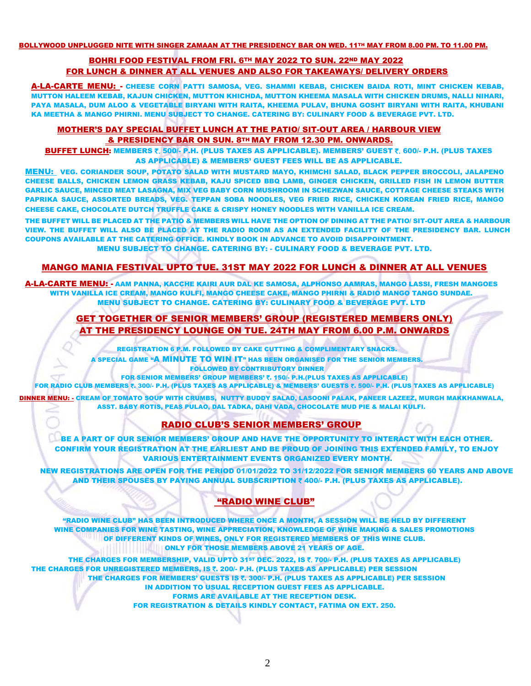BOLLYWOOD UNPLUGGED NITE WITH SINGER ZAMAAN AT THE PRESIDENCY BAR ON WED. 11TH MAY FROM 8.00 PM. TO 11.00 PM. Î

# BOHRI FOOD FESTIVAL FROM FRI. 6TH MAY 2022 TO SUN. 22ND MAY 2022 FOR LUNCH & DINNER AT ALL VENUES AND ALSO FOR TAKEAWAYS/ DELIVERY ORDERS

A-LA-CARTE MENU: - CHEESE CORN PATTI SAMOSA, VEG. SHAMMI KEBAB, CHICKEN BAIDA ROTI, MINT CHICKEN KEBAB, MUTTON HALEEM KEBAB, KAJUN CHICKEN, MUTTON KHICHDA, MUTTON KHEEMA MASALA WITH CHICKEN DRUMS, NALLI NIHARI, PAYA MASALA, DUM ALOO & VEGETABLE BIRYANI WITH RAITA, KHEEMA PULAV, BHUNA GOSHT BIRYANI WITH RAITA, KHUBANI KA MEETHA & MANGO PHIRNI. MENU SUBJECT TO CHANGE. CATERING BY: CULINARY FOOD & BEVERAGE PVT. LTD.

#### MOTHER'S DAY SPECIAL BUFFET LUNCH AT THE PATIO/ SIT-OUT AREA / HARBOUR VIEW & PRESIDENCY BAR ON SUN. 8TH MAY FROM 12.30 PM. ONWARDS.

BUFFET LUNCH: MEMBERS ₹. 500/- P.H. (PLUS TAXES AS APPLICABLE). MEMBERS' GUEST ₹. 600/- P.H. (PLUS TAXES AS APPLICABLE) & MEMBERS' GUEST FEES WILL BE AS APPLICABLE.

MENU: VEG. CORIANDER SOUP, POTATO SALAD WITH MUSTARD MAYO, KHIMCHI SALAD, BLACK PEPPER BROCCOLI, JALAPENO CHEESE BALLS, CHICKEN LEMON GRASS KEBAB, KAJU SPICED BBQ LAMB, GINGER CHICKEN, GRILLED FISH IN LEMON BUTTER GARLIC SAUCE, MINCED MEAT LASAGNA, MIX VEG BABY CORN MUSHROOM IN SCHEZWAN SAUCE, COTTAGE CHEESE STEAKS WITH PAPRIKA SAUCE, ASSORTED BREADS, VEG. TEPPAN SOBA NOODLES, VEG FRIED RICE, CHICKEN KOREAN FRIED RICE, MANGO CHEESE CAKE, CHOCOLATE DUTCH TRUFFLE CAKE & CRISPY HONEY NOODLES WITH VANILLA ICE CREAM.

THE BUFFET WILL BE PLACED AT THE PATIO & MEMBERS WILL HAVE THE OPTION OF DINING AT THE PATIO/ SIT-OUT AREA & HARBOUR VIEW. THE BUFFET WILL ALSO BE PLACED AT THE RADIO ROOM AS AN EXTENDED FACILITY OF THE PRESIDENCY BAR. LUNCH COUPONS AVAILABLE AT THE CATERING OFFICE. KINDLY BOOK IN ADVANCE TO AVOID DISAPPOINTMENT.

#### MENU SUBJECT TO CHANGE. CATERING BY: - CULINARY FOOD & BEVERAGE PVT. LTD.

# MANGO MANIA FESTIVAL UPTO TUE. 31ST MAY 2022 FOR LUNCH & DINNER AT ALL VENUES

A-LA-CARTE MENU: - AAM PANNA, KACCHE KAIRI AUR DAL KE SAMOSA, ALPHONSO AAMRAS, MANGO LASSI, FRESH MANGOES WITH VANILLA ICE CREAM, MANGO KULFI, MANGO CHEESE CAKE, MANGO PHIRNI & RADIO MANGO TANGO SUNDAE. MENU SUBJECT TO CHANGE. CATERING BY: CULINARY FOOD & BEVERAGE PVT. LTD

# GET TOGETHER OF SENIOR MEMBERS' GROUP (REGISTERED MEMBERS ONLY) AT THE PRESIDENCY LOUNGE ON TUE. 24TH MAY FROM 6.00 P.M. ONWARDS

REGISTRATION 6 P.M. FOLLOWED BY CAKE CUTTING & COMPLIMENTARY SNACKS.

A SPECIAL GAME "A MINUTE TO WIN IT" HAS BEEN ORGANISED FOR THE SENIOR MEMBERS. FOLLOWED BY CONTRIBUTORY DINNER

FOR SENIOR MEMBERS' GROUP MEMBERS' ₹. 150/- P.H.(PLUS TAXES AS APPLICABLE)

FOR RADIO CLUB MEMBERS ₹. 300/- P.H. (PLUS TAXES AS APPLICABLE) & MEMBERS' GUESTS ₹. 500/- P.H. (PLUS TAXES AS APPLICABLE)

DINNER MENU: - CREAM OF TOMATO SOUP WITH CRUMBS, NUTTY BUDDY SALAD, LASOONI PALAK, PANEER LAZEEZ, MURGH MAKKHANWALA, ASST. BABY ROTIS, PEAS PULAO, DAL TADKA, DAHI VADA, CHOCOLATE MUD PIE & MALAI KULFI.

# RADIO CLUB'S SENIOR MEMBERS' GROUP

BE A PART OF OUR SENIOR MEMBERS' GROUP AND HAVE THE OPPORTUNITY TO INTERACT WITH EACH OTHER. CONFIRM YOUR REGISTRATION AT THE EARLIEST AND BE PROUD OF JOINING THIS EXTENDED FAMILY, TO ENJOY VARIOUS ENTERTAINMENT EVENTS ORGANIZED EVERY MONTH.

NEW REGISTRATIONS ARE OPEN FOR THE PERIOD 01/01/2022 TO 31/12/2022 FOR SENIOR MEMBERS 60 YEARS AND ABOVE AND THEIR SPOUSES BY PAYING ANNUAL SUBSCRIPTION  $\bar{\tau}$  400/- P.H. (PLUS TAXES AS APPLICABLE).

# "RADIO WINE CLUB"

"RADIO WINE CLUB" HAS BEEN INTRODUCED WHERE ONCE A MONTH, A SESSION WILL BE HELD BY DIFFERENT WINE COMPANIES FOR WINE TASTING, WINE APPRECIATION, KNOWLEDGE OF WINE MAKING & SALES PROMOTIONS OF DIFFERENT KINDS OF WINES, ONLY FOR REGISTERED MEMBERS OF THIS WINE CLUB. **ONLY FOR THOSE MEMBERS ABOVE 21 YEARS OF AGE.** 

THE CHARGES FOR MEMBERSHIP, VALID UPTO 31ST DEC. 2022, IS ₹. 700/- P.H. (PLUS TAXES AS APPLICABLE) THE CHARGES FOR UNREGISTERED MEMBERS, IS ₹. 200/- P.H. (PLUS TAXES AS APPLICABLE) PER SESSION THE CHARGES FOR MEMBERS' GUESTS IS ₹. 300/- P.H. (PLUS TAXES AS APPLICABLE) PER SESSION IN ADDITION TO USUAL RECEPTION GUEST FEES AS APPLICABLE. FORMS ARE AVAILABLE AT THE RECEPTION DESK. FOR REGISTRATION & DETAILS KINDLY CONTACT, FATIMA ON EXT. 250.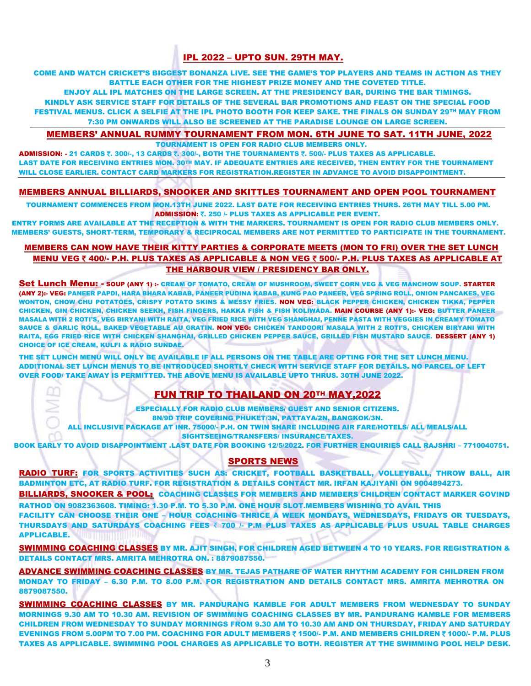# IPL 2022 – UPTO SUN. 29TH MAY.

COME AND WATCH CRICKET'S BIGGEST BONANZA LIVE. SEE THE GAME'S TOP PLAYERS AND TEAMS IN ACTION AS THEY BATTLE EACH OTHER FOR THE HIGHEST PRIZE MONEY AND THE COVETED TITLE.

ENJOY ALL IPL MATCHES ON THE LARGE SCREEN. AT THE PRESIDENCY BAR, DURING THE BAR TIMINGS. KINDLY ASK SERVICE STAFF FOR DETAILS OF THE SEVERAL BAR PROMOTIONS AND FEAST ON THE SPECIAL FOOD FESTIVAL MENUS. CLICK A SELFIE AT THE IPL PHOTO BOOTH FOR KEEP SAKE. THE FINALS ON SUNDAY 29TH MAY FROM 7:30 PM ONWARDS WILL ALSO BE SCREENED AT THE PARADISE LOUNGE ON LARGE SCREEN.

#### MEMBERS' ANNUAL RUMMY TOURNAMENT FROM MON. 6TH JUNE TO SAT. 11TH JUNE, 2022

TOURNAMENT IS OPEN FOR RADIO CLUB MEMBERS ONLY.

ADMISSION: - 21 CARDS  $\bar{\tau}$ . 300/-, 13 CARDS  $\bar{\tau}$ . 300/-, BOTH THE TOURNAMENTS  $\bar{\tau}$ . 500/- PLUS TAXES AS APPLICABLE. LAST DATE FOR RECEIVING ENTRIES MON. 30TH MAY. IF ADEQUATE ENTRIES ARE RECEIVED, THEN ENTRY FOR THE TOURNAMENT WILL CLOSE EARLIER. CONTACT CARD MARKERS FOR REGISTRATION.REGISTER IN ADVANCE TO AVOID DISAPPOINTMENT.

#### MEMBERS ANNUAL BILLIARDS, SNOOKER AND SKITTLES TOURNAMENT AND OPEN POOL TOURNAMENT

TOURNAMENT COMMENCES FROM MON.13TH JUNE 2022. LAST DATE FOR RECEIVING ENTRIES THURS. 26TH MAY TILL 5.00 PM. ADMISSION: ₹. 250 /- PLUS TAXES AS APPLICABLE PER EVENT.

ENTRY FORMS ARE AVAILABLE AT THE RECEPTION & WITH THE MARKERS. TOURNAMENT IS OPEN FOR RADIO CLUB MEMBERS ONLY. MEMBERS' GUESTS, SHORT-TERM, TEMPORARY & RECIPROCAL MEMBERS ARE NOT PERMITTED TO PARTICIPATE IN THE TOURNAMENT.

#### MEMBERS CAN NOW HAVE THEIR KITTY PARTIES & CORPORATE MEETS (MON TO FRI) OVER THE SET LUNCH MENU VEG ₹ 400/- P.H. PLUS TAXES AS APPLICABLE & NON VEG ₹ 500/- P.H. PLUS TAXES AS APPLICABLE AT THE HARBOUR VIEW / PRESIDENCY BAR ONLY.

Set Lunch Menu: - SOUP (ANY 1) :- CREAM OF TOMATO, CREAM OF MUSHROOM, SWEET CORN VEG & VEG MANCHOW SOUP. STARTER (ANY 2):- VEG: PANEER PAPDI, HARA BHARA KABAB, PANEER PUDINA KABAB, KUNG PAO PANEER, VEG SPRING ROLL, ONION PANCAKES, VEG WONTON, CHOW CHU POTATOES, CRISPY POTATO SKINS & MESSY FRIES. NON VEG: BLACK PEPPER CHICKEN, CHICKEN TIKKA, PEPPER CHICKEN, GIN CHICKEN, CHICKEN SEEKH, FISH FINGERS, HAKKA FISH & FISH KOLIWADA. MAIN COURSE (ANY 1):- VEG: BUTTER PANEER MASALA WITH 2 ROTI'S, VEG BIRYANI WITH RAITA, VEG FRIED RICE WITH VEG SHANGHAI, PENNE PASTA WITH VEGGIES IN CREAMY TOMATO SAUCE & GARLIC ROLL, BAKED VEGETABLE AU GRATIN. NON VEG: CHICKEN TANDOORI MASALA WITH 2 ROTI'S, CHICKEN BIRYANI WITH RAITA, EGG FRIED RICE WITH CHICKEN SHANGHAI, GRILLED CHICKEN PEPPER SAUCE, GRILLED FISH MUSTARD SAUCE. DESSERT (ANY 1) CHOICE OF ICE CREAM, KULFI & RADIO SUNDAE.

THE SET LUNCH MENU WILL ONLY BE AVAILABLE IF ALL PERSONS ON THE TABLE ARE OPTING FOR THE SET LUNCH MENU. ADDITIONAL SET LUNCH MENUS TO BE INTRODUCED SHORTLY CHECK WITH SERVICE STAFF FOR DETAILS. NO PARCEL OF LEFT OVER FOOD/ TAKE AWAY IS PERMITTED. THE ABOVE MENU IS AVAILABLE UPTO THRUS. 30TH JUNE 2022.

# FUN TRIP TO THAILAND ON 20TH MAY,2022

ESPECIALLY FOR RADIO CLUB MEMBERS/ GUEST AND SENIOR CITIZENS. 8N/9D TRIP COVERING PHUKET/3N, PATTAYA/2N, BANGKOK/3N. ALL INCLUSIVE PACKAGE AT INR. 75000/- P.H. ON TWIN SHARE INCLUDING AIR FARE/HOTELS/ ALL MEALS/ALL

SIGHTSEEING/TRANSFERS/ INSURANCE/TAXES.

BOOK EARLY TO AVOID DISAPPOINTMENT .LAST DATE FOR BOOKING 12/5/2022. FOR FURTHER ENQUIRIES CALL RAJSHRI – 7710040751.

#### SPORTS NEWS

RADIO TURF: FOR SPORTS ACTIVITIES SUCH AS: CRICKET, FOOTBALL BASKETBALL, VOLLEYBALL, THROW BALL, AIR BADMINTON ETC, AT RADIO TURF. FOR REGISTRATION & DETAILS CONTACT MR. IRFAN KAJIYANI ON 9004894273.

BILLIARDS, SNOOKER & POOL: COACHING CLASSES FOR MEMBERS AND MEMBERS CHILDREN CONTACT MARKER GOVIND RATHOD ON 9082363608. TIMING: 1.30 P.M. TO 5.30 P.M. ONE HOUR SLOT.MEMBERS WISHING TO AVAIL THIS

FACILITY CAN CHOOSE THEIR ONE – HOUR COACHING THRICE A WEEK MONDAYS, WEDNESDAYS, FRIDAYS OR TUESDAYS, THURSDAYS AND SATURDAYS COACHING FEES ₹ 700 /- P.M PLUS TAXES AS APPLICABLE PLUS USUAL TABLE CHARGES APPLICABLE.

SWIMMING COACHING CLASSES BY MR. AJIT SINGH, FOR CHILDREN AGED BETWEEN 4 TO 10 YEARS. FOR REGISTRATION & DETAILS CONTACT MRS. AMRITA MEHROTRA ON. : 8879087550.

ADVANCE SWIMMING COACHING CLASSES BY MR. TEJAS PATHARE OF WATER RHYTHM ACADEMY FOR CHILDREN FROM MONDAY TO FRIDAY – 6.30 P.M. TO 8.00 P.M. FOR REGISTRATION AND DETAILS CONTACT MRS. AMRITA MEHROTRA ON 8879087550.

SWIMMING COACHING CLASSES BY MR. PANDURANG KAMBLE FOR ADULT MEMBERS FROM WEDNESDAY TO SUNDAY MORNINGS 9.30 AM TO 10.30 AM. REVISION OF SWIMMING COACHING CLASSES BY MR. PANDURANG KAMBLE FOR MEMBERS CHILDREN FROM WEDNESDAY TO SUNDAY MORNINGS FROM 9.30 AM TO 10.30 AM AND ON THURSDAY, FRIDAY AND SATURDAY EVENINGS FROM 5.00PM TO 7.00 PM. COACHING FOR ADULT MEMBERS ₹ 1500/- P.M. AND MEMBERS CHILDREN ₹ 1000/- P.M. PLUS TAXES AS APPLICABLE. SWIMMING POOL CHARGES AS APPLICABLE TO BOTH. REGISTER AT THE SWIMMING POOL HELP DESK.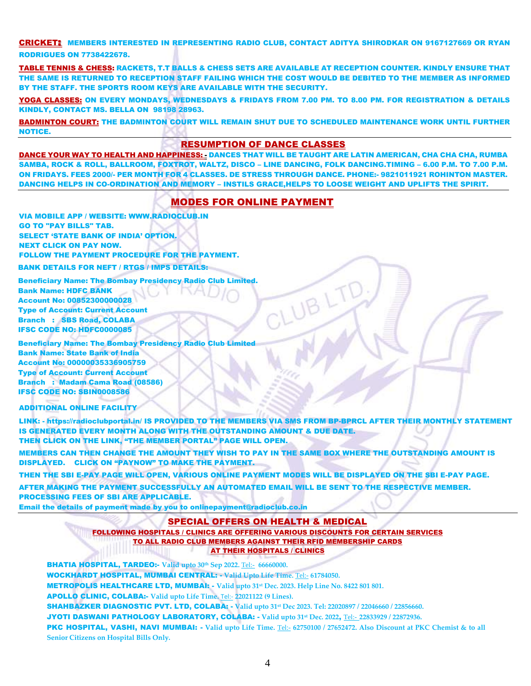CRICKET: MEMBERS INTERESTED IN REPRESENTING RADIO CLUB, CONTACT ADITYA SHIRODKAR ON 9167127669 OR RYAN RODRIGUES ON 7738422678.

TABLE TENNIS & CHESS: RACKETS, T.T BALLS & CHESS SETS ARE AVAILABLE AT RECEPTION COUNTER. KINDLY ENSURE THAT THE SAME IS RETURNED TO RECEPTION STAFF FAILING WHICH THE COST WOULD BE DEBITED TO THE MEMBER AS INFORMED BY THE STAFF. THE SPORTS ROOM KEYS ARE AVAILABLE WITH THE SECURITY.

YOGA CLASSES: ON EVERY MONDAYS, WEDNESDAYS & FRIDAYS FROM 7.00 PM. TO 8.00 PM. FOR REGISTRATION & DETAILS KINDLY, CONTACT MS. BELLA ON 98198 28963.

BADMINTON COURT: THE BADMINTON COURT WILL REMAIN SHUT DUE TO SCHEDULED MAINTENANCE WORK UNTIL FURTHER NOTICE.

#### RESUMPTION OF DANCE CLASSES

DANCE YOUR WAY TO HEALTH AND HAPPINESS: - DANCES THAT WILL BE TAUGHT ARE LATIN AMERICAN, CHA CHA CHA, RUMBA SAMBA, ROCK & ROLL, BALLROOM, FOXTROT, WALTZ, DISCO – LINE DANCING, FOLK DANCING.TIMING – 6.00 P.M. TO 7.00 P.M. ON FRIDAYS. FEES 2000/- PER MONTH FOR 4 CLASSES. DE STRESS THROUGH DANCE. PHONE:- 9821011921 ROHINTON MASTER. DANCING HELPS IN CO-ORDINATION AND MEMORY – INSTILS GRACE,HELPS TO LOOSE WEIGHT AND UPLIFTS THE SPIRIT.

# MODES FOR ONLINE PAYMENT

VIA MOBILE APP / WEBSITE: [WWW.RADIOCLUB.IN](http://www.radioclub.in/)  GO TO "PAY BILLS" TAB. SELECT 'STATE BANK OF INDIA' OPTION. NEXT CLICK ON PAY NOW. FOLLOW THE PAYMENT PROCEDURE FOR THE PAYMENT.

BANK DETAILS FOR NEFT / RTGS / IMPS DETAILS:

 Beneficiary Name: The Bombay Presidency Radio Club Limited. Bank Name: HDFC BANK Account No: 00852300000028 Type of Account: Current Account Branch : SBS Road, COLABA IFSC CODE NO: HDFC0000085

 Beneficiary Name: The Bombay Presidency Radio Club Limited Bank Name: State Bank of India Account No: 00000035336905759 Type of Account: Current Account Branch : Madam Cama Road (08586) IFSC CODE NO: SBIN0008586

#### ADDITIONAL ONLINE FACILITY

LINK: - <https://radioclubportal.in/> IS PROVIDED TO THE MEMBERS VIA SMS FROM BP-BPRCL AFTER THEIR MONTHLY STATEMENT IS GENERATED EVERY MONTH ALONG WITH THE OUTSTANDING AMOUNT & DUE DATE. THEN CLICK ON THE LINK, "THE MEMBER PORTAL" PAGE WILL OPEN.

MEMBERS CAN THEN CHANGE THE AMOUNT THEY WISH TO PAY IN THE SAME BOX WHERE THE OUTSTANDING AMOUNT IS DISPLAYED. CLICK ON "PAYNOW" TO MAKE THE PAYMENT.

THEN THE SBI E-PAY PAGE WILL OPEN, VARIOUS ONLINE PAYMENT MODES WILL BE DISPLAYED ON THE SBI E-PAY PAGE. AFTER MAKING THE PAYMENT SUCCESSFULLY AN AUTOMATED EMAIL WILL BE SENT TO THE RESPECTIVE MEMBER. PROCESSING FEES OF SBI ARE APPLICABLE.

Email the details of payment made by you to [onlinepayment@radioclub.co.in](mailto:onlinepayment@radioclub.co.in)

#### SPECIAL OFFERS ON HEALTH & MEDICAL

FOLLOWING HOSPITALS / CLINICS ARE OFFERING VARIOUS DISCOUNTS FOR CERTAIN SERVICES TO ALL RADIO CLUB MEMBERS AGAINST THEIR RFID MEMBERSHIP CARDS AT THEIR HOSPITALS / CLINICS 

BHATIA HOSPITAL, TARDEO:- **Valid upto 30th Sep 2022.** [Tel:-](tel:-) **66660000.**  WOCKHARDT HOSPITAL, MUMBAI CENTRAL: - **Valid Upto Life Time.** [Tel:-](tel:-) **61784050.**  METROPOLIS HEALTHCARE LTD, MUMBAI: - **Valid upto 31st Dec. 2023. Help Line No. 8422 801 801.**  APOLLO CLINIC, COLABA:- **Valid upto Life Time.** [Tel:-](tel:-) **22021122 (9 Lines).**  SHAHBAZKER DIAGNOSTIC PVT. LTD, COLABA: - **Valid upto 31st Dec 2023. Tel: 22020897 / 22046660 / 22856660.**  JYOTI DASWANI PATHOLOGY LABORATORY, COLABA: - **Valid upto 31st Dec. 2022**, [Tel:-](tel:-) **22833929 / 22872936.**  PKC HOSPITAL, VASHI, NAVI MUMBAI: - Valid upto Life Time. [Tel:-](tel:-) 62750100 / 27652472. Also Discount at PKC Chemist & to all

**Senior Citizens on Hospital Bills Only.**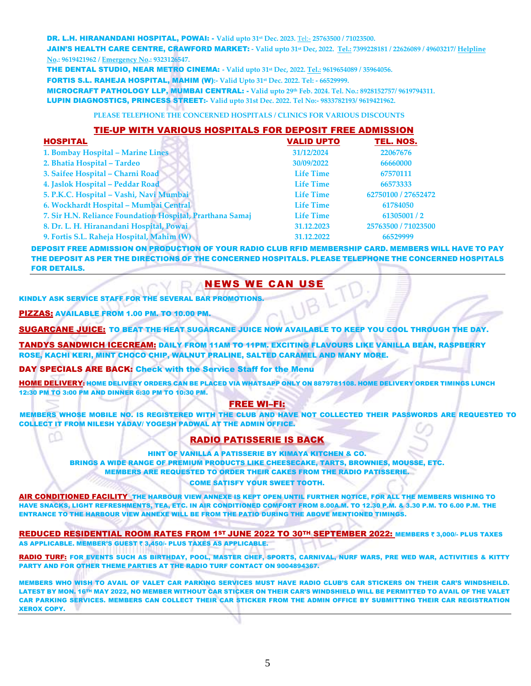#### DR. L.H. HIRANANDANI HOSPITAL, POWAI: - **Valid upto 31st Dec. 2023.** [Tel:-](tel:-) **25763500 / 71023500.**

JAIN'S HEALTH CARE CENTRE, CRAWFORD MARKET: **- Valid upto 31st Dec, 2022. Tel.: 7399228181 / 22626089 / 49603217/ Helpline No.: 9619421962 / Emergency No.: 9323126547.** 

THE DENTAL STUDIO, NEAR METRO CINEMA: **- Valid upto 31st Dec, 2022. Tel.: 9619654089 / 35964056.**

FORTIS S.L. RAHEJA HOSPITAL, MAHIM (W)**:- Valid Upto 31st Dec. 2022. Tel: - 66529999.** 

MICROCRAFT PATHOLOGY LLP, MUMBAI CENTRAL: - **Valid upto 29th Feb. 2024. Tel. No.: 8928152757/ 9619794311.** LUPIN DIAGNOSTICS, PRINCESS STREET:- **Valid upto 31st Dec. 2022. Tel No:- 9833782193/ 9619421962.** 

#### **PLEASE TELEPHONE THE CONCERNED HOSPITALS / CLINICS FOR VARIOUS DISCOUNTS**

### TIE-UP WITH VARIOUS HOSPITALS FOR DEPOSIT FREE ADMISSION HOSPITALVALID UPTO TEL. NOS. **1. Bombay Hospital – Marine Lines 31/12/2024 22067676 2. Bhatia Hospital – Tardeo 30/09/2022 66660000 3. Saifee Hospital – Charni Road Life Time 67570111 4. Jaslok Hospital – Peddar Road Life Time 66573333 5. P.K.C. Hospital – Vashi, Navi Mumbai Life Time 62750100 / 27652472 6. Wockhardt Hospital – Mumbai Central Life Time 61784050 7. Sir H.N. Reliance Foundation Hospital, Prarthana Samaj Life Time 61305001 / 2 8. Dr. L. H. Hiranandani Hospital, Powai 31.12.2023 25763500 / 71023500**

**9. Fortis S.L. Raheja Hospital, Mahim (W) 31.12.2022 66529999**

DEPOSIT FREE ADMISSION ON PRODUCTION OF YOUR RADIO CLUB RFID MEMBERSHIP CARD. MEMBERS WILL HAVE TO PAY THE DEPOSIT AS PER THE DIRECTIONS OF THE CONCERNED HOSPITALS. PLEASE TELEPHONE THE CONCERNED HOSPITALS FOR DETAILS.

# NEWS WE CAN USE

KINDLY ASK SERVICE STAFF FOR THE SEVERAL BAR PROMOTIONS.

PIZZAS: AVAILABLE FROM 1.00 PM. TO 10.00 PM.

SUGARCANE JUICE: TO BEAT THE HEAT SUGARCANE JUICE NOW AVAILABLE TO KEEP YOU COOL THROUGH THE DAY.

TANDYS SANDWICH ICECREAM: DAILY FROM 11AM TO 11PM. EXCITING FLAVOURS LIKE VANILLA BEAN, RASPBERRY ROSE, KACHI KERI, MINT CHOCO CHIP, WALNUT PRALINE, SALTED CARAMEL AND MANY MORE.

#### DAY SPECIALS ARE BACK: Check with the Service Staff for the Menu

HOME DELIVERY: HOME DELIVERY ORDERS CAN BE PLACED VIA WHATSAPP ONLY ON 8879781108. HOME DELIVERY ORDER TIMINGS LUNCH 12:30 PM TO 3:00 PM AND DINNER 6:30 PM TO 10:30 PM.

### FREE WI–FI:

 MEMBERS WHOSE MOBILE NO. IS REGISTERED WITH THE CLUB AND HAVE NOT COLLECTED THEIR PASSWORDS ARE REQUESTED TO COLLECT IT FROM NILESH YADAV/ YOGESH PADWAL AT THE ADMIN OFFICE.

# RADIO PATISSERIE IS BACK

HINT OF VANILLA A PATISSERIE BY KIMAYA KITCHEN & CO.

BRINGS A WIDE RANGE OF PREMIUM PRODUCTS LIKE CHEESECAKE, TARTS, BROWNIES, MOUSSE, ETC. MEMBERS ARE REQUESTED TO ORDER THEIR CAKES FROM THE RADIO PATISSERIE. COME SATISFY YOUR SWEET TOOTH.

AIR CONDITIONED FACILITY THE HARBOUR VIEW ANNEXE IS KEPT OPEN UNTIL FURTHER NOTICE, FOR ALL THE MEMBERS WISHING TO HAVE SNACKS, LIGHT REFRESHMENTS, TEA, ETC. IN AIR CONDITIONED COMFORT FROM 8.00A.M. TO 12.30 P.M. & 3.30 P.M. TO 6.00 P.M. THE ENTRANCE TO THE HARBOUR VIEW ANNEXE WILL BE FROM THE PATIO DURING THE ABOVE MENTIONED TIMINGS.

REDUCED RESIDENTIAL ROOM RATES FROM 1ST JUNE 2022 TO 30TH SEPTEMBER 2022: MEMBERS ₹ 3,000/- PLUS TAXES AS APPLICABLE. MEMBER'S GUEST ₹ 3,450/- PLUS TAXES AS APPLICABLE.

RADIO TURF: FOR EVENTS SUCH AS BIRTHDAY, POOL, MASTER CHEF, SPORTS, CARNIVAL, NURF WARS, PRE WED WAR, ACTIVITIES & KITTY PARTY AND FOR OTHER THEME PARTIES AT THE RADIO TURF CONTACT ON 9004894367.

MEMBERS WHO WISH TO AVAIL OF VALET CAR PARKING SERVICES MUST HAVE RADIO CLUB'S CAR STICKERS ON THEIR CAR'S WINDSHEILD. LATEST BY MON. 16TH MAY 2022, NO MEMBER WITHOUT CAR STICKER ON THEIR CAR'S WINDSHIELD WILL BE PERMITTED TO AVAIL OF THE VALET CAR PARKING SERVICES. MEMBERS CAN COLLECT THEIR CAR STICKER FROM THE ADMIN OFFICE BY SUBMITTING THEIR CAR REGISTRATION XEROX COPY.